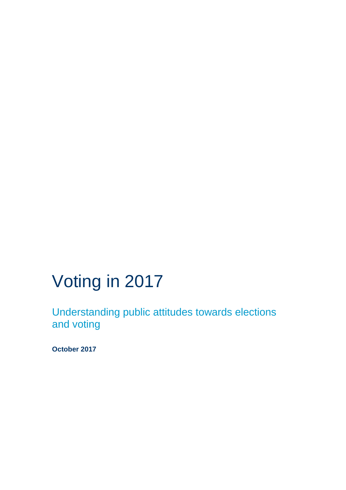# Voting in 2017

Understanding public attitudes towards elections and voting

**October 2017**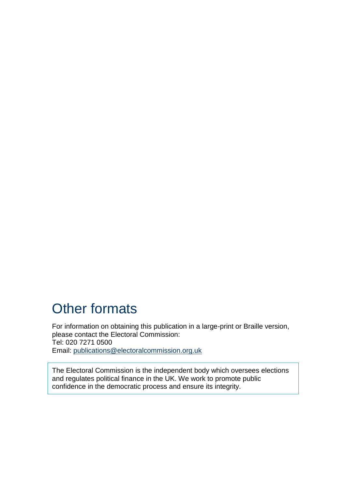## Other formats

For information on obtaining this publication in a large-print or Braille version, please contact the Electoral Commission: Tel: 020 7271 0500 Email: [publications@electoralcommission.org.uk](mailto:publications@electoralcommission.org.uk)

The Electoral Commission is the independent body which oversees elections and regulates political finance in the UK. We work to promote public confidence in the democratic process and ensure its integrity.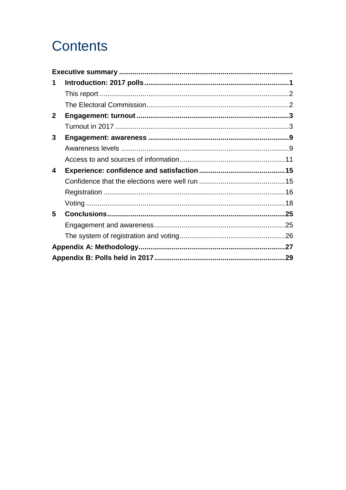## **Contents**

| 1            |  |
|--------------|--|
|              |  |
|              |  |
| $\mathbf{2}$ |  |
|              |  |
| 3            |  |
|              |  |
|              |  |
| 4            |  |
|              |  |
|              |  |
|              |  |
| 5            |  |
|              |  |
|              |  |
|              |  |
|              |  |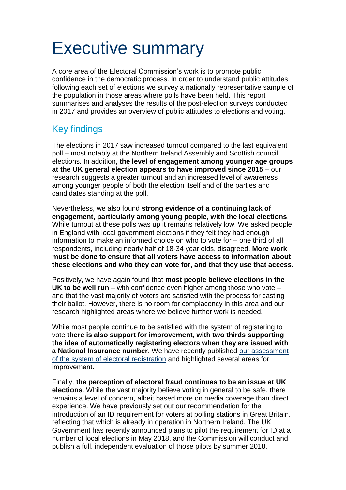# <span id="page-3-0"></span>Executive summary

A core area of the Electoral Commission's work is to promote public confidence in the democratic process. In order to understand public attitudes, following each set of elections we survey a nationally representative sample of the population in those areas where polls have been held. This report summarises and analyses the results of the post-election surveys conducted in 2017 and provides an overview of public attitudes to elections and voting.

### Key findings

The elections in 2017 saw increased turnout compared to the last equivalent poll – most notably at the Northern Ireland Assembly and Scottish council elections. In addition, **the level of engagement among younger age groups at the UK general election appears to have improved since 2015** – our research suggests a greater turnout and an increased level of awareness among younger people of both the election itself and of the parties and candidates standing at the poll.

Nevertheless, we also found **strong evidence of a continuing lack of engagement, particularly among young people, with the local elections**. While turnout at these polls was up it remains relatively low. We asked people in England with local government elections if they felt they had enough information to make an informed choice on who to vote for – one third of all respondents, including nearly half of 18-34 year olds, disagreed. **More work must be done to ensure that all voters have access to information about these elections and who they can vote for, and that they use that access.**

Positively, we have again found that **most people believe elections in the UK to be well run** – with confidence even higher among those who vote – and that the vast majority of voters are satisfied with the process for casting their ballot. However, there is no room for complacency in this area and our research highlighted areas where we believe further work is needed.

While most people continue to be satisfied with the system of registering to vote **there is also support for improvement, with two thirds supporting the idea of automatically registering electors when they are issued with a National Insurance number**. We have recently published [our assessment](https://www.electoralcommission.org.uk/__data/assets/pdf_file/0003/232761/Electoral-registration-report-July-2017.pdf)  [of the system of electoral registration](https://www.electoralcommission.org.uk/__data/assets/pdf_file/0003/232761/Electoral-registration-report-July-2017.pdf) and highlighted several areas for improvement.

Finally, **the perception of electoral fraud continues to be an issue at UK elections**. While the vast majority believe voting in general to be safe, there remains a level of concern, albeit based more on media coverage than direct experience. We have previously set out our recommendation for the introduction of an ID requirement for voters at polling stations in Great Britain, reflecting that which is already in operation in Northern Ireland. The UK Government has recently announced plans to pilot the requirement for ID at a number of local elections in May 2018, and the Commission will conduct and publish a full, independent evaluation of those pilots by summer 2018.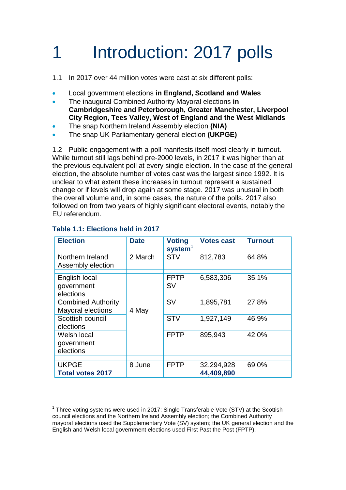# <span id="page-4-0"></span>1 Introduction: 2017 polls

1.1 In 2017 over 44 million votes were cast at six different polls:

- Local government elections **in England, Scotland and Wales**
- The inaugural Combined Authority Mayoral elections **in Cambridgeshire and Peterborough, Greater Manchester, Liverpool City Region, Tees Valley, West of England and the West Midlands**
- The snap Northern Ireland Assembly election **(NIA)**
- The snap UK Parliamentary general election **(UKPGE)**

1.2 Public engagement with a poll manifests itself most clearly in turnout. While turnout still lags behind pre-2000 levels, in 2017 it was higher than at the previous equivalent poll at every single election. In the case of the general election, the absolute number of votes cast was the largest since 1992. It is unclear to what extent these increases in turnout represent a sustained change or if levels will drop again at some stage. 2017 was unusual in both the overall volume and, in some cases, the nature of the polls. 2017 also followed on from two years of highly significant electoral events, notably the EU referendum.

| <b>Election</b>                                | <b>Date</b> | <b>Voting</b><br>$s$ ystem $1$ | <b>Votes cast</b> | <b>Turnout</b> |
|------------------------------------------------|-------------|--------------------------------|-------------------|----------------|
| Northern Ireland<br>Assembly election          | 2 March     | <b>STV</b>                     | 812,783           | 64.8%          |
| English local<br>government<br>elections       | 4 May       | <b>FPTP</b><br><b>SV</b>       | 6,583,306         | 35.1%          |
| <b>Combined Authority</b><br>Mayoral elections |             | <b>SV</b>                      | 1,895,781         | 27.8%          |
| Scottish council<br>elections                  |             | <b>STV</b>                     | 1,927,149         | 46.9%          |
| Welsh local<br>government<br>elections         |             | <b>FPTP</b>                    | 895,943           | 42.0%          |
| <b>UKPGE</b>                                   | 8 June      | <b>FPTP</b>                    | 32,294,928        | 69.0%          |
| <b>Total votes 2017</b>                        |             |                                | 44,409,890        |                |

### **Table 1.1: Elections held in 2017**

<sup>&</sup>lt;sup>1</sup> Three voting systems were used in 2017: Single Transferable Vote (STV) at the Scottish council elections and the Northern Ireland Assembly election; the Combined Authority mayoral elections used the Supplementary Vote (SV) system; the UK general election and the English and Welsh local government elections used First Past the Post (FPTP).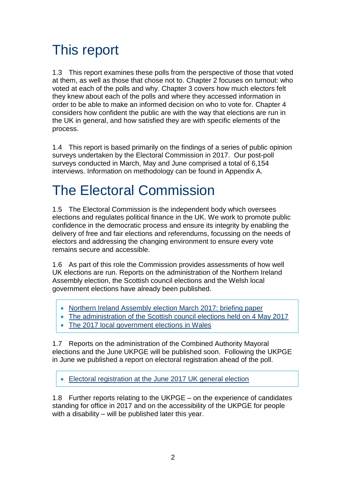## <span id="page-5-0"></span>This report

1.3 This report examines these polls from the perspective of those that voted at them, as well as those that chose not to. Chapter 2 focuses on turnout: who voted at each of the polls and why. Chapter 3 covers how much electors felt they knew about each of the polls and where they accessed information in order to be able to make an informed decision on who to vote for. Chapter 4 considers how confident the public are with the way that elections are run in the UK in general, and how satisfied they are with specific elements of the process.

1.4 This report is based primarily on the findings of a series of public opinion surveys undertaken by the Electoral Commission in 2017. Our post-poll surveys conducted in March, May and June comprised a total of 6,154 interviews. Information on methodology can be found in Appendix A.

## <span id="page-5-1"></span>The Electoral Commission

1.5 The Electoral Commission is the independent body which oversees elections and regulates political finance in the UK. We work to promote public confidence in the democratic process and ensure its integrity by enabling the delivery of free and fair elections and referendums, focussing on the needs of electors and addressing the changing environment to ensure every vote remains secure and accessible.

1.6 As part of this role the Commission provides assessments of how well UK elections are run. Reports on the administration of the Northern Ireland Assembly election, the Scottish council elections and the Welsh local government elections have already been published.

- [Northern Ireland Assembly election March 2017: briefing paper](https://www.electoralcommission.org.uk/__data/assets/pdf_file/0008/226970/Northern-Ireland-Assembly-election-March-2017-report-briefing-paper.pdf)
- [The administration of the Scottish council elections held on 4 May 2017](https://www.electoralcommission.org.uk/__search/s/redirect?collection=electoral-commission&url=https%3A%2F%2Fwww.electoralcommission.org.uk%2F__data%2Fassets%2Fpdf_file%2F0006%2F233673%2FScottish-Council-elections-2017.pdf&index_url=https%3A%2F%2Fwww.electoralcommission.org.uk%2F__data%2Fassets%2Fpdf_file%2F0006%2F233673%2FScottish-Council-elections-2017.pdf&auth=8tjimaWvG5AW1D5BX5bW4w&profile=_default&rank=1&query=%21t%3Apadrenullelec)
- [The 2017 local government elections in Wales](https://www.electoralcommission.org.uk/__data/assets/pdf_file/0020/234407/Wales-Local-Elections-Report-2017.pdf)

1.7 Reports on the administration of the Combined Authority Mayoral elections and the June UKPGE will be published soon. Following the UKPGE in June we published a report on electoral registration ahead of the poll.

[Electoral registration at the June 2017 UK general election](https://www.electoralcommission.org.uk/__search/s/redirect?collection=electoral-commission&url=https%3A%2F%2Fwww.electoralcommission.org.uk%2F__data%2Fassets%2Fpdf_file%2F0003%2F232761%2FElectoral-registration-report-July-2017.pdf&index_url=https%3A%2F%2Fwww.electoralcommission.org.uk%2F__data%2Fassets%2Fpdf_file%2F0003%2F232761%2FElectoral-registration-report-July-2017.pdf&auth=BG56taxHrORTEqm1PC6zSQ&profile=_default&rank=3&query=%7C%5BF%3APolicy+F%3AResearch%5D+%21t%3Apadrenullpol)

1.8 Further reports relating to the UKPGE – on the experience of candidates standing for office in 2017 and on the accessibility of the UKPGE for people with a disability – will be published later this year.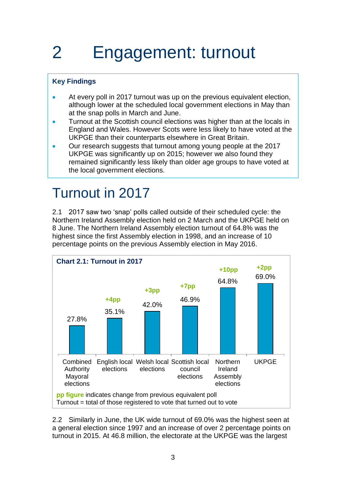# <span id="page-6-0"></span>2 Engagement: turnout

### **Key Findings**

- At every poll in 2017 turnout was up on the previous equivalent election, although lower at the scheduled local government elections in May than at the snap polls in March and June.
- **Turnout at the Scottish council elections was higher than at the locals in** England and Wales. However Scots were less likely to have voted at the UKPGE than their counterparts elsewhere in Great Britain.
- Our research suggests that turnout among young people at the 2017 UKPGE was significantly up on 2015; however we also found they remained significantly less likely than older age groups to have voted at the local government elections.

## <span id="page-6-1"></span>Turnout in 2017

2.1 2017 saw two 'snap' polls called outside of their scheduled cycle: the Northern Ireland Assembly election held on 2 March and the UKPGE held on 8 June. The Northern Ireland Assembly election turnout of 64.8% was the highest since the first Assembly election in 1998, and an increase of 10 percentage points on the previous Assembly election in May 2016.



2.2 Similarly in June, the UK wide turnout of 69.0% was the highest seen at a general election since 1997 and an increase of over 2 percentage points on turnout in 2015. At 46.8 million, the electorate at the UKPGE was the largest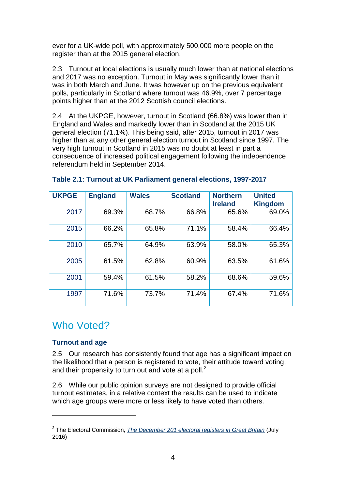ever for a UK-wide poll, with approximately 500,000 more people on the register than at the 2015 general election.

2.3 Turnout at local elections is usually much lower than at national elections and 2017 was no exception. Turnout in May was significantly lower than it was in both March and June. It was however up on the previous equivalent polls, particularly in Scotland where turnout was 46.9%, over 7 percentage points higher than at the 2012 Scottish council elections.

2.4 At the UKPGE, however, turnout in Scotland (66.8%) was lower than in England and Wales and markedly lower than in Scotland at the 2015 UK general election (71.1%). This being said, after 2015, turnout in 2017 was higher than at any other general election turnout in Scotland since 1997. The very high turnout in Scotland in 2015 was no doubt at least in part a consequence of increased political engagement following the independence referendum held in September 2014.

| <b>UKPGE</b> | <b>England</b> | <b>Wales</b> | <b>Scotland</b> | <b>Northern</b><br><b>Ireland</b> | <b>United</b><br><b>Kingdom</b> |
|--------------|----------------|--------------|-----------------|-----------------------------------|---------------------------------|
| 2017         | 69.3%          | 68.7%        | 66.8%           | 65.6%                             | 69.0%                           |
| 2015         | 66.2%          | 65.8%        | 71.1%           | 58.4%                             | 66.4%                           |
| 2010         | 65.7%          | 64.9%        | 63.9%           | 58.0%                             | 65.3%                           |
| 2005         | 61.5%          | 62.8%        | 60.9%           | 63.5%                             | 61.6%                           |
| 2001         | 59.4%          | 61.5%        | 58.2%           | 68.6%                             | 59.6%                           |
| 1997         | 71.6%          | 73.7%        | 71.4%           | 67.4%                             | 71.6%                           |

#### **Table 2.1: Turnout at UK Parliament general elections, 1997-2017**

### Who Voted?

#### **Turnout and age**

1

2.5 Our research has consistently found that age has a significant impact on the likelihood that a person is registered to vote, their attitude toward voting, and their propensity to turn out and vote at a poll. $<sup>2</sup>$ </sup>

2.6 While our public opinion surveys are not designed to provide official turnout estimates, in a relative context the results can be used to indicate which age groups were more or less likely to have voted than others.

<sup>2</sup> The Electoral Commission, *[The December 201 electoral registers in Great Britain](http://www.electoralcommission.org.uk/__data/assets/pdf_file/0005/213377/The-December-2015-electoral-registers-in-Great-Britain-REPORT.pdf)* (July 2016)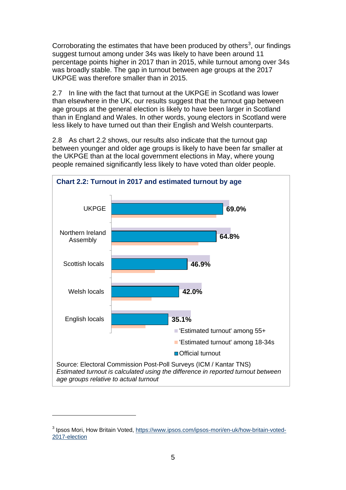Corroborating the estimates that have been produced by others<sup>3</sup>, our findings suggest turnout among under 34s was likely to have been around 11 percentage points higher in 2017 than in 2015, while turnout among over 34s was broadly stable. The gap in turnout between age groups at the 2017 UKPGE was therefore smaller than in 2015.

2.7 In line with the fact that turnout at the UKPGE in Scotland was lower than elsewhere in the UK, our results suggest that the turnout gap between age groups at the general election is likely to have been larger in Scotland than in England and Wales. In other words, young electors in Scotland were less likely to have turned out than their English and Welsh counterparts.

2.8 As chart 2.2 shows, our results also indicate that the turnout gap between younger and older age groups is likely to have been far smaller at the UKPGE than at the local government elections in May, where young people remained significantly less likely to have voted than older people.



<sup>&</sup>lt;sup>3</sup> Ipsos Mori, How Britain Voted, [https://www.ipsos.com/ipsos-mori/en-uk/how-britain-voted-](https://www.ipsos.com/ipsos-mori/en-uk/how-britain-voted-2017-election)[2017-election](https://www.ipsos.com/ipsos-mori/en-uk/how-britain-voted-2017-election)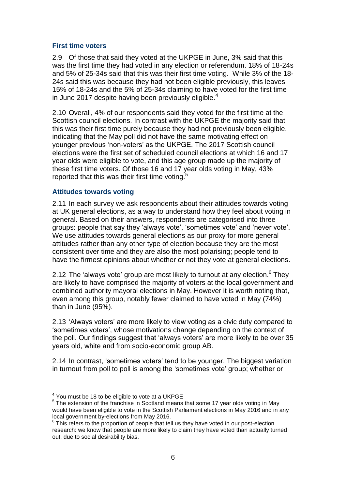#### **First time voters**

2.9 Of those that said they voted at the UKPGE in June, 3% said that this was the first time they had voted in any election or referendum. 18% of 18-24s and 5% of 25-34s said that this was their first time voting. While 3% of the 18- 24s said this was because they had not been eligible previously, this leaves 15% of 18-24s and the 5% of 25-34s claiming to have voted for the first time in June 2017 despite having been previously eligible. $4$ 

2.10 Overall, 4% of our respondents said they voted for the first time at the Scottish council elections. In contrast with the UKPGE the majority said that this was their first time purely because they had not previously been eligible, indicating that the May poll did not have the same motivating effect on younger previous 'non-voters' as the UKPGE. The 2017 Scottish council elections were the first set of scheduled council elections at which 16 and 17 year olds were eligible to vote, and this age group made up the majority of these first time voters. Of those 16 and 17 year olds voting in May, 43% reported that this was their first time voting.<sup>5</sup>

#### **Attitudes towards voting**

2.11 In each survey we ask respondents about their attitudes towards voting at UK general elections, as a way to understand how they feel about voting in general. Based on their answers, respondents are categorised into three groups: people that say they 'always vote', 'sometimes vote' and 'never vote'. We use attitudes towards general elections as our proxy for more general attitudes rather than any other type of election because they are the most consistent over time and they are also the most polarising; people tend to have the firmest opinions about whether or not they vote at general elections.

2.12 The 'always vote' group are most likely to turnout at any election. $6$  They are likely to have comprised the majority of voters at the local government and combined authority mayoral elections in May. However it is worth noting that, even among this group, notably fewer claimed to have voted in May (74%) than in June (95%).

2.13 'Always voters' are more likely to view voting as a civic duty compared to 'sometimes voters', whose motivations change depending on the context of the poll. Our findings suggest that 'always voters' are more likely to be over 35 years old, white and from socio-economic group AB.

2.14 In contrast, 'sometimes voters' tend to be younger. The biggest variation in turnout from poll to poll is among the 'sometimes vote' group; whether or

 $4$  You must be 18 to be eligible to vote at a UKPGE

<sup>&</sup>lt;sup>5</sup> The extension of the franchise in Scotland means that some 17 year olds voting in May would have been eligible to vote in the Scottish Parliament elections in May 2016 and in any local government by-elections from May 2016.

 $6$  This refers to the proportion of people that tell us they have voted in our post-election research: we know that people are more likely to claim they have voted than actually turned out, due to social desirability bias.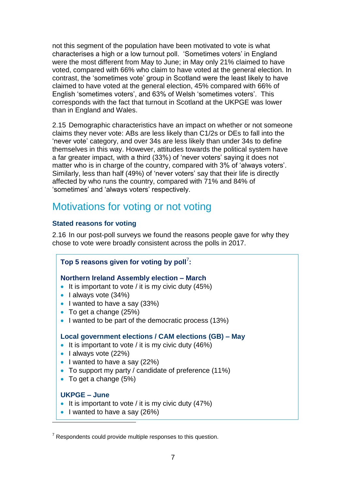not this segment of the population have been motivated to vote is what characterises a high or a low turnout poll. 'Sometimes voters' in England were the most different from May to June; in May only 21% claimed to have voted, compared with 66% who claim to have voted at the general election. In contrast, the 'sometimes vote' group in Scotland were the least likely to have claimed to have voted at the general election, 45% compared with 66% of English 'sometimes voters', and 63% of Welsh 'sometimes voters'. This corresponds with the fact that turnout in Scotland at the UKPGE was lower than in England and Wales.

2.15 Demographic characteristics have an impact on whether or not someone claims they never vote: ABs are less likely than C1/2s or DEs to fall into the 'never vote' category, and over 34s are less likely than under 34s to define themselves in this way. However, attitudes towards the political system have a far greater impact, with a third (33%) of 'never voters' saying it does not matter who is in charge of the country, compared with 3% of 'always voters'. Similarly, less than half (49%) of 'never voters' say that their life is directly affected by who runs the country, compared with 71% and 84% of 'sometimes' and 'always voters' respectively.

### Motivations for voting or not voting

### **Stated reasons for voting**

2.16 In our post-poll surveys we found the reasons people gave for why they chose to vote were broadly consistent across the polls in 2017.

| Top 5 reasons given for voting by poll':                                                                                                                                                                                                                               |
|------------------------------------------------------------------------------------------------------------------------------------------------------------------------------------------------------------------------------------------------------------------------|
| Northern Ireland Assembly election – March<br>• It is important to vote / it is my civic duty $(45%)$<br>• Lalways vote $(34%)$<br>• I wanted to have a say (33%)<br>• To get a change $(25%)$<br>• I wanted to be part of the democratic process (13%)                |
| Local government elections / CAM elections (GB) – May<br>• It is important to vote / it is my civic duty $(46%)$<br>• Lalways vote $(22%)$<br>• I wanted to have a say $(22%)$<br>• To support my party / candidate of preference $(11\%)$<br>• To get a change $(5%)$ |

#### **UKPGE – June**

- It is important to vote / it is my civic duty  $(47%)$
- $\bullet$  I wanted to have a say (26%)

 $7$  Respondents could provide multiple responses to this question.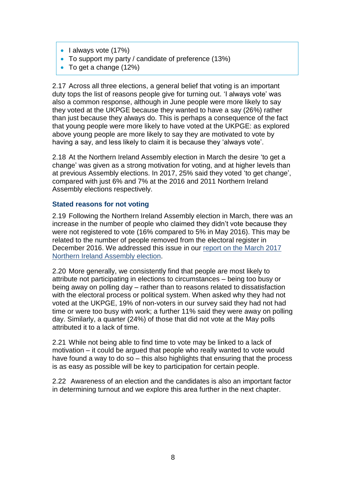- $\bullet$  lalways vote (17%)
- To support my party / candidate of preference (13%)
- To get a change (12%)

2.17 Across all three elections, a general belief that voting is an important duty tops the list of reasons people give for turning out. 'I always vote' was also a common response, although in June people were more likely to say they voted at the UKPGE because they wanted to have a say (26%) rather than just because they always do. This is perhaps a consequence of the fact that young people were more likely to have voted at the UKPGE: as explored above young people are more likely to say they are motivated to vote by having a say, and less likely to claim it is because they 'always vote'.

2.18 At the Northern Ireland Assembly election in March the desire 'to get a change' was given as a strong motivation for voting, and at higher levels than at previous Assembly elections. In 2017, 25% said they voted 'to get change', compared with just 6% and 7% at the 2016 and 2011 Northern Ireland Assembly elections respectively.

#### **Stated reasons for not voting**

2.19 Following the Northern Ireland Assembly election in March, there was an increase in the number of people who claimed they didn't vote because they were not registered to vote (16% compared to 5% in May 2016). This may be related to the number of people removed from the electoral register in December 2016. We addressed this issue in our [report on the March 2017](https://www.electoralcommission.org.uk/__data/assets/pdf_file/0008/226970/Northern-Ireland-Assembly-election-March-2017-report-briefing-paper.pdf)  [Northern Ireland Assembly election.](https://www.electoralcommission.org.uk/__data/assets/pdf_file/0008/226970/Northern-Ireland-Assembly-election-March-2017-report-briefing-paper.pdf)

2.20 More generally, we consistently find that people are most likely to attribute not participating in elections to circumstances – being too busy or being away on polling day – rather than to reasons related to dissatisfaction with the electoral process or political system. When asked why they had not voted at the UKPGE, 19% of non-voters in our survey said they had not had time or were too busy with work; a further 11% said they were away on polling day. Similarly, a quarter (24%) of those that did not vote at the May polls attributed it to a lack of time.

2.21 While not being able to find time to vote may be linked to a lack of motivation – it could be argued that people who really wanted to vote would have found a way to do so – this also highlights that ensuring that the process is as easy as possible will be key to participation for certain people.

2.22 Awareness of an election and the candidates is also an important factor in determining turnout and we explore this area further in the next chapter.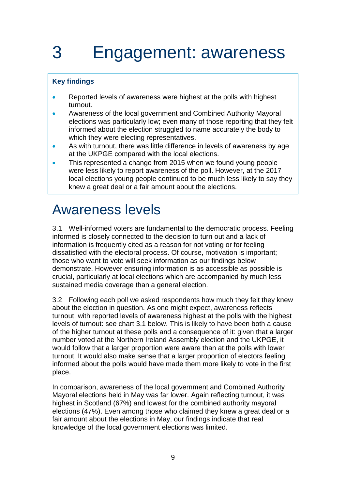# <span id="page-12-0"></span>3 Engagement: awareness

### **Key findings**

- Reported levels of awareness were highest at the polls with highest turnout.
- Awareness of the local government and Combined Authority Mayoral elections was particularly low; even many of those reporting that they felt informed about the election struggled to name accurately the body to which they were electing representatives.
- As with turnout, there was little difference in levels of awareness by age at the UKPGE compared with the local elections.
- This represented a change from 2015 when we found young people were less likely to report awareness of the poll. However, at the 2017 local elections young people continued to be much less likely to say they knew a great deal or a fair amount about the elections.

## <span id="page-12-1"></span>Awareness levels

3.1 Well-informed voters are fundamental to the democratic process. Feeling informed is closely connected to the decision to turn out and a lack of information is frequently cited as a reason for not voting or for feeling dissatisfied with the electoral process. Of course, motivation is important; those who want to vote will seek information as our findings below demonstrate. However ensuring information is as accessible as possible is crucial, particularly at local elections which are accompanied by much less sustained media coverage than a general election.

3.2 Following each poll we asked respondents how much they felt they knew about the election in question. As one might expect, awareness reflects turnout, with reported levels of awareness highest at the polls with the highest levels of turnout: see chart 3.1 below. This is likely to have been both a cause of the higher turnout at these polls and a consequence of it: given that a larger number voted at the Northern Ireland Assembly election and the UKPGE, it would follow that a larger proportion were aware than at the polls with lower turnout. It would also make sense that a larger proportion of electors feeling informed about the polls would have made them more likely to vote in the first place.

In comparison, awareness of the local government and Combined Authority Mayoral elections held in May was far lower. Again reflecting turnout, it was highest in Scotland (67%) and lowest for the combined authority mayoral elections (47%). Even among those who claimed they knew a great deal or a fair amount about the elections in May, our findings indicate that real knowledge of the local government elections was limited.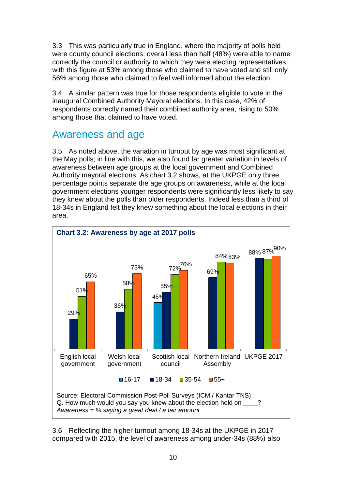3.3 This was particularly true in England, where the majority of polls held were county council elections; overall less than half (48%) were able to name correctly the council or authority to which they were electing representatives, with this figure at 53% among those who claimed to have voted and still only 56% among those who claimed to feel well informed about the election.

3.4 A similar pattern was true for those respondents eligible to vote in the inaugural Combined Authority Mayoral elections. In this case, 42% of respondents correctly named their combined authority area, rising to 50% among those that claimed to have voted.

### Awareness and age

3.5 As noted above, the variation in turnout by age was most significant at the May polls; in line with this, we also found far greater variation in levels of awareness between age groups at the local government and Combined Authority mayoral elections. As chart 3.2 shows, at the UKPGE only three percentage points separate the age groups on awareness, while at the local government elections younger respondents were significantly less likely to say they knew about the polls than older respondents. Indeed less than a third of 18-34s in England felt they knew something about the local elections in their area.



3.6 Reflecting the higher turnout among 18-34s at the UKPGE in 2017 compared with 2015, the level of awareness among under-34s (88%) also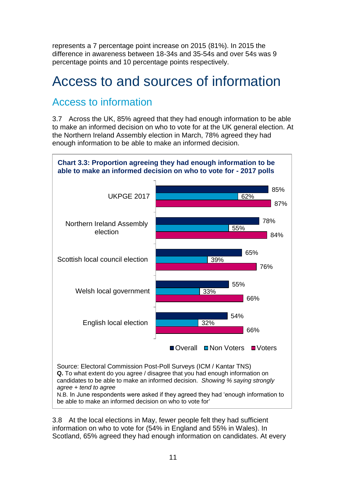represents a 7 percentage point increase on 2015 (81%). In 2015 the difference in awareness between 18-34s and 35-54s and over 54s was 9 percentage points and 10 percentage points respectively.

## <span id="page-14-0"></span>Access to and sources of information

## Access to information

3.7 Across the UK, 85% agreed that they had enough information to be able to make an informed decision on who to vote for at the UK general election. At the Northern Ireland Assembly election in March, 78% agreed they had enough information to be able to make an informed decision.



N.B. In June respondents were asked if they agreed they had 'enough information to be able to make an informed decision on who to vote for'

3.8 At the local elections in May, fewer people felt they had sufficient information on who to vote for (54% in England and 55% in Wales). In Scotland, 65% agreed they had enough information on candidates. At every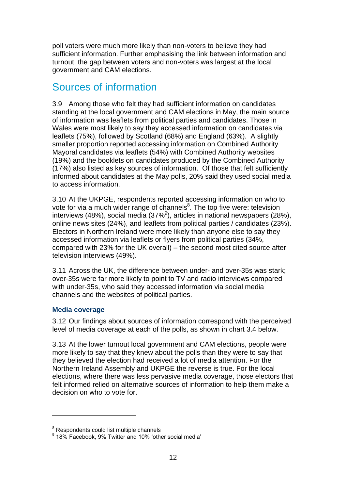poll voters were much more likely than non-voters to believe they had sufficient information. Further emphasising the link between information and turnout, the gap between voters and non-voters was largest at the local government and CAM elections.

## Sources of information

3.9 Among those who felt they had sufficient information on candidates standing at the local government and CAM elections in May, the main source of information was leaflets from political parties and candidates. Those in Wales were most likely to say they accessed information on candidates via leaflets (75%), followed by Scotland (68%) and England (63%). A slightly smaller proportion reported accessing information on Combined Authority Mayoral candidates via leaflets (54%) with Combined Authority websites (19%) and the booklets on candidates produced by the Combined Authority (17%) also listed as key sources of information. Of those that felt sufficiently informed about candidates at the May polls, 20% said they used social media to access information.

3.10 At the UKPGE, respondents reported accessing information on who to vote for via a much wider range of channels<sup>8</sup>. The top five were: television interviews (48%), social media (37% $9$ ), articles in national newspapers (28%), online news sites (24%), and leaflets from political parties / candidates (23%). Electors in Northern Ireland were more likely than anyone else to say they accessed information via leaflets or flyers from political parties (34%, compared with 23% for the UK overall) – the second most cited source after television interviews (49%).

3.11 Across the UK, the difference between under- and over-35s was stark; over-35s were far more likely to point to TV and radio interviews compared with under-35s, who said they accessed information via social media channels and the websites of political parties.

#### **Media coverage**

1

3.12 Our findings about sources of information correspond with the perceived level of media coverage at each of the polls, as shown in chart 3.4 below.

3.13 At the lower turnout local government and CAM elections, people were more likely to say that they knew about the polls than they were to say that they believed the election had received a lot of media attention. For the Northern Ireland Assembly and UKPGE the reverse is true. For the local elections, where there was less pervasive media coverage, those electors that felt informed relied on alternative sources of information to help them make a decision on who to vote for.

<sup>&</sup>lt;sup>8</sup> Respondents could list multiple channels

<sup>&</sup>lt;sup>9</sup> 18% Facebook, 9% Twitter and 10% 'other social media'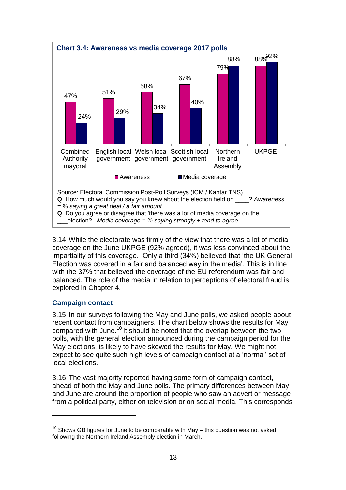

3.14 While the electorate was firmly of the view that there was a lot of media coverage on the June UKPGE (92% agreed), it was less convinced about the impartiality of this coverage. Only a third (34%) believed that 'the UK General Election was covered in a fair and balanced way in the media'. This is in line with the 37% that believed the coverage of the EU referendum was fair and balanced. The role of the media in relation to perceptions of electoral fraud is explored in Chapter 4.

#### **Campaign contact**

1

3.15 In our surveys following the May and June polls, we asked people about recent contact from campaigners. The chart below shows the results for May compared with June.<sup>10</sup> It should be noted that the overlap between the two polls, with the general election announced during the campaign period for the May elections, is likely to have skewed the results for May. We might not expect to see quite such high levels of campaign contact at a 'normal' set of local elections.

3.16 The vast majority reported having some form of campaign contact, ahead of both the May and June polls. The primary differences between May and June are around the proportion of people who saw an advert or message from a political party, either on television or on social media. This corresponds

 $10$  Shows GB figures for June to be comparable with May – this question was not asked following the Northern Ireland Assembly election in March.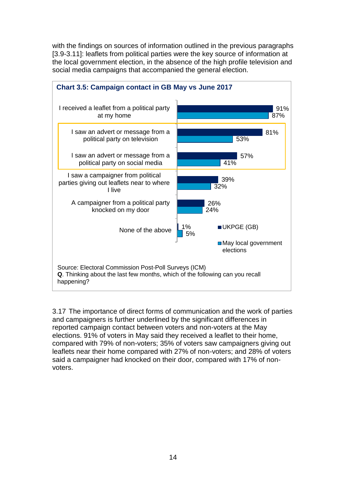with the findings on sources of information outlined in the previous paragraphs [3.9-3.11]: leaflets from political parties were the key source of information at the local government election, in the absence of the high profile television and social media campaigns that accompanied the general election.



3.17 The importance of direct forms of communication and the work of parties and campaigners is further underlined by the significant differences in reported campaign contact between voters and non-voters at the May elections. 91% of voters in May said they received a leaflet to their home, compared with 79% of non-voters; 35% of voters saw campaigners giving out leaflets near their home compared with 27% of non-voters; and 28% of voters said a campaigner had knocked on their door, compared with 17% of nonvoters.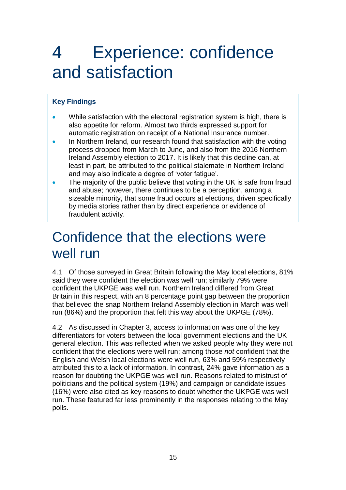# <span id="page-18-0"></span>4 Experience: confidence and satisfaction

### **Key Findings**

- While satisfaction with the electoral registration system is high, there is also appetite for reform. Almost two thirds expressed support for automatic registration on receipt of a National Insurance number.
- In Northern Ireland, our research found that satisfaction with the voting process dropped from March to June, and also from the 2016 Northern Ireland Assembly election to 2017. It is likely that this decline can, at least in part, be attributed to the political stalemate in Northern Ireland and may also indicate a degree of 'voter fatigue'.
- The majority of the public believe that voting in the UK is safe from fraud and abuse; however, there continues to be a perception, among a sizeable minority, that some fraud occurs at elections, driven specifically by media stories rather than by direct experience or evidence of fraudulent activity.

## <span id="page-18-1"></span>Confidence that the elections were well run

4.1 Of those surveyed in Great Britain following the May local elections, 81% said they were confident the election was well run; similarly 79% were confident the UKPGE was well run. Northern Ireland differed from Great Britain in this respect, with an 8 percentage point gap between the proportion that believed the snap Northern Ireland Assembly election in March was well run (86%) and the proportion that felt this way about the UKPGE (78%).

4.2 As discussed in Chapter 3, access to information was one of the key differentiators for voters between the local government elections and the UK general election. This was reflected when we asked people why they were not confident that the elections were well run; among those *not* confident that the English and Welsh local elections were well run, 63% and 59% respectively attributed this to a lack of information. In contrast, 24% gave information as a reason for doubting the UKPGE was well run. Reasons related to mistrust of politicians and the political system (19%) and campaign or candidate issues (16%) were also cited as key reasons to doubt whether the UKPGE was well run. These featured far less prominently in the responses relating to the May polls.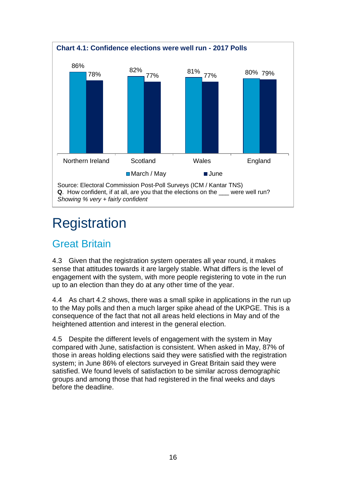

## <span id="page-19-0"></span>**Registration**

## Great Britain

4.3 Given that the registration system operates all year round, it makes sense that attitudes towards it are largely stable. What differs is the level of engagement with the system, with more people registering to vote in the run up to an election than they do at any other time of the year.

4.4 As chart 4.2 shows, there was a small spike in applications in the run up to the May polls and then a much larger spike ahead of the UKPGE. This is a consequence of the fact that not all areas held elections in May and of the heightened attention and interest in the general election.

4.5 Despite the different levels of engagement with the system in May compared with June, satisfaction is consistent. When asked in May, 87% of those in areas holding elections said they were satisfied with the registration system; in June 86% of electors surveyed in Great Britain said they were satisfied. We found levels of satisfaction to be similar across demographic groups and among those that had registered in the final weeks and days before the deadline.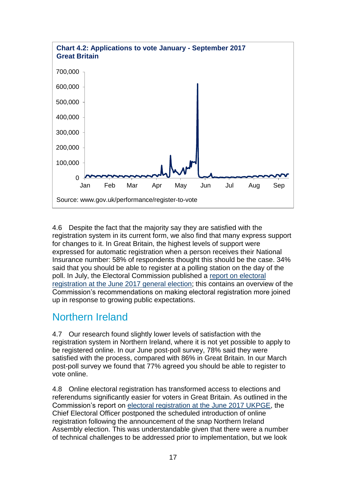

4.6 Despite the fact that the majority say they are satisfied with the registration system in its current form, we also find that many express support for changes to it. In Great Britain, the highest levels of support were expressed for automatic registration when a person receives their National Insurance number: 58% of respondents thought this should be the case. 34% said that you should be able to register at a polling station on the day of the poll. In July, the Electoral Commission published a [report on electoral](https://www.electoralcommission.org.uk/__data/assets/pdf_file/0003/232761/Electoral-registration-report-July-2017.pdf)  [registration at the June 2017 general election;](https://www.electoralcommission.org.uk/__data/assets/pdf_file/0003/232761/Electoral-registration-report-July-2017.pdf) this contains an overview of the Commission's recommendations on making electoral registration more joined up in response to growing public expectations.

### Northern Ireland

4.7 Our research found slightly lower levels of satisfaction with the registration system in Northern Ireland, where it is not yet possible to apply to be registered online. In our June post-poll survey, 78% said they were satisfied with the process, compared with 86% in Great Britain. In our March post-poll survey we found that 77% agreed you should be able to register to vote online.

4.8 Online electoral registration has transformed access to elections and referendums significantly easier for voters in Great Britain. As outlined in the Commission's report on [electoral registration at the June 2017 UKPGE,](https://www.electoralcommission.org.uk/__data/assets/pdf_file/0003/232761/Electoral-registration-report-July-2017.pdf) the Chief Electoral Officer postponed the scheduled introduction of online registration following the announcement of the snap Northern Ireland Assembly election. This was understandable given that there were a number of technical challenges to be addressed prior to implementation, but we look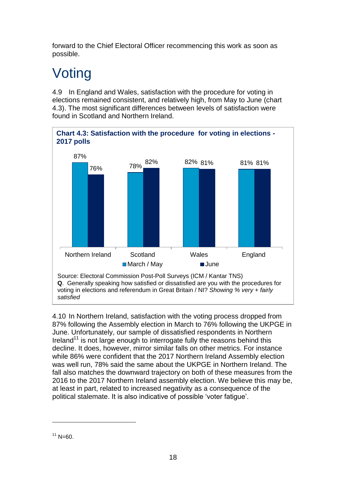forward to the Chief Electoral Officer recommencing this work as soon as possible.

## <span id="page-21-0"></span>**Voting**

4.9 In England and Wales, satisfaction with the procedure for voting in elections remained consistent, and relatively high, from May to June (chart 4.3). The most significant differences between levels of satisfaction were found in Scotland and Northern Ireland.



4.10 In Northern Ireland, satisfaction with the voting process dropped from 87% following the Assembly election in March to 76% following the UKPGE in June. Unfortunately, our sample of dissatisfied respondents in Northern Ireland<sup>11</sup> is not large enough to interrogate fully the reasons behind this decline. It does, however, mirror similar falls on other metrics. For instance while 86% were confident that the 2017 Northern Ireland Assembly election was well run, 78% said the same about the UKPGE in Northern Ireland. The fall also matches the downward trajectory on both of these measures from the 2016 to the 2017 Northern Ireland assembly election. We believe this may be, at least in part, related to increased negativity as a consequence of the political stalemate. It is also indicative of possible 'voter fatigue'.

 $11$  N=60.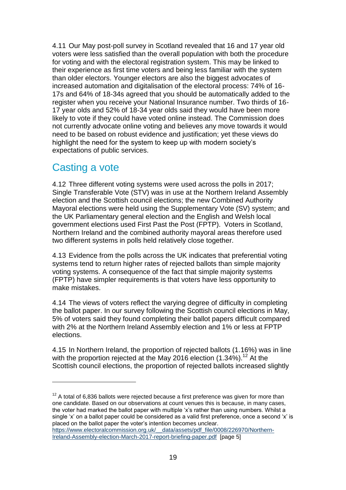4.11 Our May post-poll survey in Scotland revealed that 16 and 17 year old voters were less satisfied than the overall population with both the procedure for voting and with the electoral registration system. This may be linked to their experience as first time voters and being less familiar with the system than older electors. Younger electors are also the biggest advocates of increased automation and digitalisation of the electoral process: 74% of 16- 17s and 64% of 18-34s agreed that you should be automatically added to the register when you receive your National Insurance number. Two thirds of 16- 17 year olds and 52% of 18-34 year olds said they would have been more likely to vote if they could have voted online instead. The Commission does not currently advocate online voting and believes any move towards it would need to be based on robust evidence and justification; yet these views do highlight the need for the system to keep up with modern society's expectations of public services.

### Casting a vote

1

4.12 Three different voting systems were used across the polls in 2017; Single Transferable Vote (STV) was in use at the Northern Ireland Assembly election and the Scottish council elections; the new Combined Authority Mayoral elections were held using the Supplementary Vote (SV) system; and the UK Parliamentary general election and the English and Welsh local government elections used First Past the Post (FPTP). Voters in Scotland, Northern Ireland and the combined authority mayoral areas therefore used two different systems in polls held relatively close together.

4.13 Evidence from the polls across the UK indicates that preferential voting systems tend to return higher rates of rejected ballots than simple majority voting systems. A consequence of the fact that simple majority systems (FPTP) have simpler requirements is that voters have less opportunity to make mistakes.

4.14 The views of voters reflect the varying degree of difficulty in completing the ballot paper. In our survey following the Scottish council elections in May, 5% of voters said they found completing their ballot papers difficult compared with 2% at the Northern Ireland Assembly election and 1% or less at FPTP elections.

4.15 In Northern Ireland, the proportion of rejected ballots (1.16%) was in line with the proportion rejected at the May 2016 election (1.34%).<sup>12</sup> At the Scottish council elections, the proportion of rejected ballots increased slightly

 $12$  A total of 6,836 ballots were rejected because a first preference was given for more than one candidate. Based on our observations at count venues this is because, in many cases, the voter had marked the ballot paper with multiple 'x's rather than using numbers. Whilst a single 'x' on a ballot paper could be considered as a valid first preference, once a second 'x' is placed on the ballot paper the voter's intention becomes unclear. https://www.electoralcommission.org.uk/ data/assets/pdf file/0008/226970/Northern-[Ireland-Assembly-election-March-2017-report-briefing-paper.pdf](https://www.electoralcommission.org.uk/__data/assets/pdf_file/0008/226970/Northern-Ireland-Assembly-election-March-2017-report-briefing-paper.pdf) [page 5]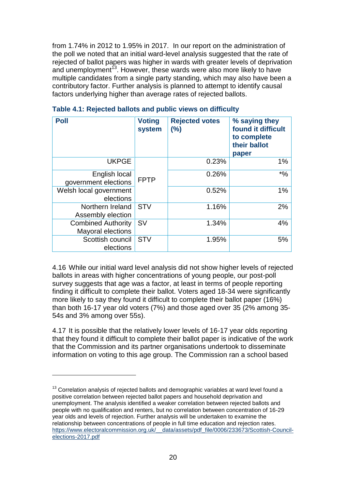from 1.74% in 2012 to 1.95% in 2017. In our report on the administration of the poll we noted that an initial ward-level analysis suggested that the rate of rejected of ballot papers was higher in wards with greater levels of deprivation and unemployment<sup>13</sup>. However, these wards were also more likely to have multiple candidates from a single party standing, which may also have been a contributory factor. Further analysis is planned to attempt to identify causal factors underlying higher than average rates of rejected ballots.

| <b>Poll</b>                                           | <b>Voting</b><br>system | <b>Rejected votes</b><br>(%) | % saying they<br>found it difficult<br>to complete<br>their ballot<br>paper |
|-------------------------------------------------------|-------------------------|------------------------------|-----------------------------------------------------------------------------|
| <b>UKPGE</b>                                          |                         | 0.23%                        | 1%                                                                          |
| English local<br>government elections                 | <b>FPTP</b>             | 0.26%                        | $*9/6$                                                                      |
| Welsh local government<br>elections                   |                         | 0.52%                        | 1%                                                                          |
| Northern Ireland<br>Assembly election                 | <b>STV</b>              | 1.16%                        | 2%                                                                          |
| <b>Combined Authority</b><br><b>Mayoral elections</b> | <b>SV</b>               | 1.34%                        | 4%                                                                          |
| Scottish council<br>elections                         | <b>STV</b>              | 1.95%                        | 5%                                                                          |

#### **Table 4.1: Rejected ballots and public views on difficulty**

4.16 While our initial ward level analysis did not show higher levels of rejected ballots in areas with higher concentrations of young people, our post-poll survey suggests that age was a factor, at least in terms of people reporting finding it difficult to complete their ballot. Voters aged 18-34 were significantly more likely to say they found it difficult to complete their ballot paper (16%) than both 16-17 year old voters (7%) and those aged over 35 (2% among 35- 54s and 3% among over 55s).

4.17 It is possible that the relatively lower levels of 16-17 year olds reporting that they found it difficult to complete their ballot paper is indicative of the work that the Commission and its partner organisations undertook to disseminate information on voting to this age group. The Commission ran a school based

 $13$  Correlation analysis of rejected ballots and demographic variables at ward level found a positive correlation between rejected ballot papers and household deprivation and unemployment. The analysis identified a weaker correlation between rejected ballots and people with no qualification and renters, but no correlation between concentration of 16-29 year olds and levels of rejection. Further analysis will be undertaken to examine the relationship between concentrations of people in full time education and rejection rates. [https://www.electoralcommission.org.uk/\\_\\_data/assets/pdf\\_file/0006/233673/Scottish-Council](https://www.electoralcommission.org.uk/__data/assets/pdf_file/0006/233673/Scottish-Council-elections-2017.pdf)[elections-2017.pdf](https://www.electoralcommission.org.uk/__data/assets/pdf_file/0006/233673/Scottish-Council-elections-2017.pdf)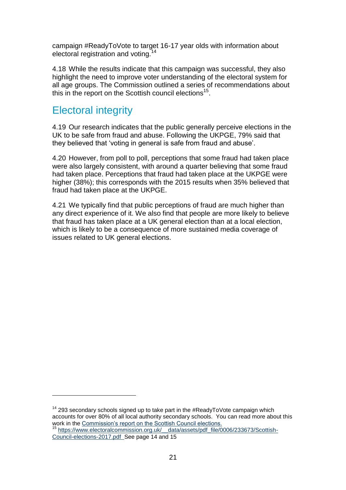campaign #ReadyToVote to target 16-17 year olds with information about electoral registration and voting.<sup>14</sup>

4.18 While the results indicate that this campaign was successful, they also highlight the need to improve voter understanding of the electoral system for all age groups. The Commission outlined a series of recommendations about this in the report on the Scottish council elections<sup>15</sup>.

### Electoral integrity

1

4.19 Our research indicates that the public generally perceive elections in the UK to be safe from fraud and abuse. Following the UKPGE, 79% said that they believed that 'voting in general is safe from fraud and abuse'.

4.20 However, from poll to poll, perceptions that some fraud had taken place were also largely consistent, with around a quarter believing that some fraud had taken place. Perceptions that fraud had taken place at the UKPGE were higher (38%); this corresponds with the 2015 results when 35% believed that fraud had taken place at the UKPGE.

4.21 We typically find that public perceptions of fraud are much higher than any direct experience of it. We also find that people are more likely to believe that fraud has taken place at a UK general election than at a local election, which is likely to be a consequence of more sustained media coverage of issues related to UK general elections.

 $14$  293 secondary schools signed up to take part in the #ReadyToVote campaign which accounts for over 80% of all local authority secondary schools. You can read more about this work in the [Commission's report on the Scottish Council elections.](https://www.electoralcommission.org.uk/__data/assets/pdf_file/0006/233673/Scottish-Council-elections-2017.pdf) <sup>15</sup> https://www.electoralcommission.org.uk/ data/assets/pdf\_file/0006/233673/Scottish-[Council-elections-2017.pdf](https://www.electoralcommission.org.uk/__data/assets/pdf_file/0006/233673/Scottish-Council-elections-2017.pdf) See page 14 and 15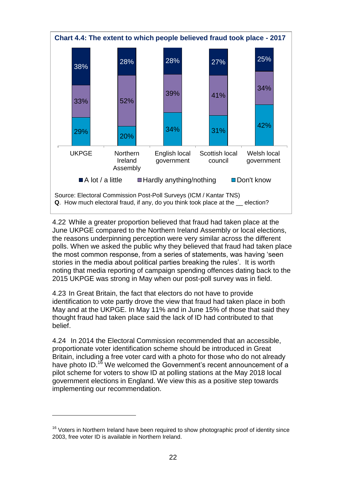

4.22 While a greater proportion believed that fraud had taken place at the June UKPGE compared to the Northern Ireland Assembly or local elections, the reasons underpinning perception were very similar across the different polls. When we asked the public why they believed that fraud had taken place the most common response, from a series of statements, was having 'seen stories in the media about political parties breaking the rules'. It is worth noting that media reporting of campaign spending offences dating back to the 2015 UKPGE was strong in May when our post-poll survey was in field.

4.23 In Great Britain, the fact that electors do not have to provide identification to vote partly drove the view that fraud had taken place in both May and at the UKPGE. In May 11% and in June 15% of those that said they thought fraud had taken place said the lack of ID had contributed to that belief.

4.24 In 2014 the Electoral Commission recommended that an accessible, proportionate voter identification scheme should be introduced in Great Britain, including a free voter card with a photo for those who do not already have photo ID.<sup>16</sup> We welcomed the Government's recent announcement of a pilot scheme for voters to show ID at polling stations at the May 2018 local government elections in England. We view this as a positive step towards implementing our recommendation.

<sup>&</sup>lt;sup>16</sup> Voters in Northern Ireland have been required to show photographic proof of identity since 2003, free voter ID is available in Northern Ireland.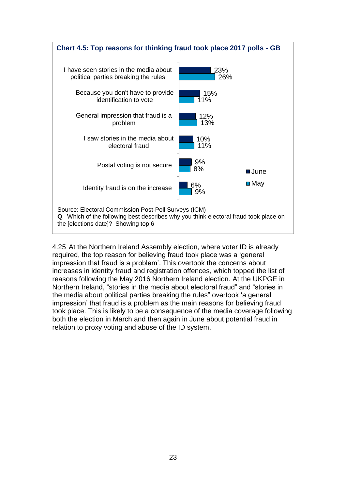

4.25 At the Northern Ireland Assembly election, where voter ID is already required, the top reason for believing fraud took place was a 'general impression that fraud is a problem'. This overtook the concerns about increases in identity fraud and registration offences, which topped the list of reasons following the May 2016 Northern Ireland election. At the UKPGE in Northern Ireland, "stories in the media about electoral fraud" and "stories in the media about political parties breaking the rules" overtook 'a general impression' that fraud is a problem as the main reasons for believing fraud took place. This is likely to be a consequence of the media coverage following both the election in March and then again in June about potential fraud in relation to proxy voting and abuse of the ID system.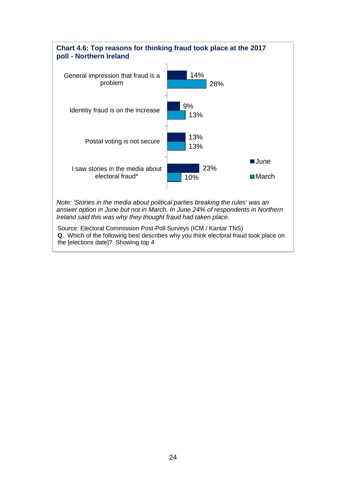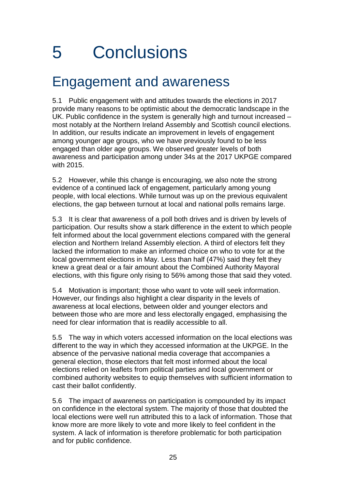# <span id="page-28-0"></span>5 Conclusions

## <span id="page-28-1"></span>Engagement and awareness

5.1 Public engagement with and attitudes towards the elections in 2017 provide many reasons to be optimistic about the democratic landscape in the UK. Public confidence in the system is generally high and turnout increased – most notably at the Northern Ireland Assembly and Scottish council elections. In addition, our results indicate an improvement in levels of engagement among younger age groups, who we have previously found to be less engaged than older age groups. We observed greater levels of both awareness and participation among under 34s at the 2017 UKPGE compared with 2015.

5.2 However, while this change is encouraging, we also note the strong evidence of a continued lack of engagement, particularly among young people, with local elections. While turnout was up on the previous equivalent elections, the gap between turnout at local and national polls remains large.

5.3 It is clear that awareness of a poll both drives and is driven by levels of participation. Our results show a stark difference in the extent to which people felt informed about the local government elections compared with the general election and Northern Ireland Assembly election. A third of electors felt they lacked the information to make an informed choice on who to vote for at the local government elections in May. Less than half (47%) said they felt they knew a great deal or a fair amount about the Combined Authority Mayoral elections, with this figure only rising to 56% among those that said they voted.

5.4 Motivation is important; those who want to vote will seek information. However, our findings also highlight a clear disparity in the levels of awareness at local elections, between older and younger electors and between those who are more and less electorally engaged, emphasising the need for clear information that is readily accessible to all.

5.5 The way in which voters accessed information on the local elections was different to the way in which they accessed information at the UKPGE. In the absence of the pervasive national media coverage that accompanies a general election, those electors that felt most informed about the local elections relied on leaflets from political parties and local government or combined authority websites to equip themselves with sufficient information to cast their ballot confidently.

5.6 The impact of awareness on participation is compounded by its impact on confidence in the electoral system. The majority of those that doubted the local elections were well run attributed this to a lack of information. Those that know more are more likely to vote and more likely to feel confident in the system. A lack of information is therefore problematic for both participation and for public confidence.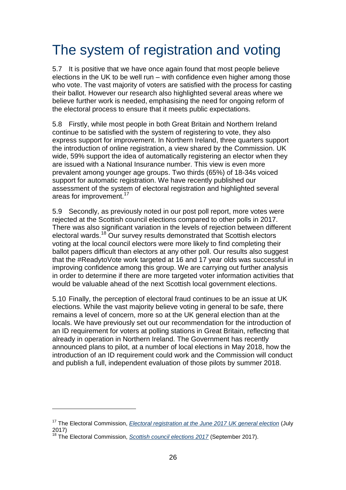## <span id="page-29-0"></span>The system of registration and voting

5.7 It is positive that we have once again found that most people believe elections in the UK to be well run – with confidence even higher among those who vote. The vast majority of voters are satisfied with the process for casting their ballot. However our research also highlighted several areas where we believe further work is needed, emphasising the need for ongoing reform of the electoral process to ensure that it meets public expectations.

5.8 Firstly, while most people in both Great Britain and Northern Ireland continue to be satisfied with the system of registering to vote, they also express support for improvement. In Northern Ireland, three quarters support the introduction of online registration, a view shared by the Commission. UK wide, 59% support the idea of automatically registering an elector when they are issued with a National Insurance number. This view is even more prevalent among younger age groups. Two thirds (65%) of 18-34s voiced support for automatic registration. We have recently published our assessment of the system of electoral registration and highlighted several areas for improvement.<sup>17</sup>

5.9 Secondly, as previously noted in our post poll report, more votes were rejected at the Scottish council elections compared to other polls in 2017. There was also significant variation in the levels of rejection between different electoral wards.<sup>18</sup> Our survey results demonstrated that Scottish electors voting at the local council electors were more likely to find completing their ballot papers difficult than electors at any other poll. Our results also suggest that the #ReadytoVote work targeted at 16 and 17 year olds was successful in improving confidence among this group. We are carrying out further analysis in order to determine if there are more targeted voter information activities that would be valuable ahead of the next Scottish local government elections.

5.10 Finally, the perception of electoral fraud continues to be an issue at UK elections. While the vast majority believe voting in general to be safe, there remains a level of concern, more so at the UK general election than at the locals. We have previously set out our recommendation for the introduction of an ID requirement for voters at polling stations in Great Britain, reflecting that already in operation in Northern Ireland. The Government has recently announced plans to pilot, at a number of local elections in May 2018, how the introduction of an ID requirement could work and the Commission will conduct and publish a full, independent evaluation of those pilots by summer 2018.

<u>.</u>

<sup>17</sup> The Electoral Commission, *[Electoral registration at the June 2017 UK general election](https://www.electoralcommission.org.uk/__data/assets/pdf_file/0003/232761/Electoral-registration-report-July-2017.pdf)* (July 2017)

<sup>18</sup> The Electoral Commission, *[Scottish council elections 2017](https://www.electoralcommission.org.uk/__data/assets/pdf_file/0006/233673/Scottish-Council-elections-2017.pdf)* (September 2017).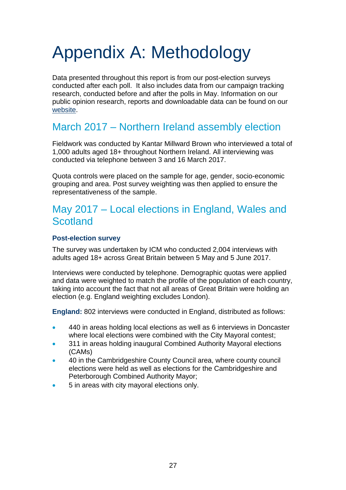# <span id="page-30-0"></span>Appendix A: Methodology

Data presented throughout this report is from our post-election surveys conducted after each poll. It also includes data from our campaign tracking research, conducted before and after the polls in May. Information on our public opinion research, reports and downloadable data can be found on our [website.](https://www.electoralcommission.org.uk/our-work/our-research/public-opinion-surveys)

## March 2017 – Northern Ireland assembly election

Fieldwork was conducted by Kantar Millward Brown who interviewed a total of 1,000 adults aged 18+ throughout Northern Ireland. All interviewing was conducted via telephone between 3 and 16 March 2017.

Quota controls were placed on the sample for age, gender, socio-economic grouping and area. Post survey weighting was then applied to ensure the representativeness of the sample.

## May 2017 – Local elections in England, Wales and **Scotland**

#### **Post-election survey**

The survey was undertaken by ICM who conducted 2,004 interviews with adults aged 18+ across Great Britain between 5 May and 5 June 2017.

Interviews were conducted by telephone. Demographic quotas were applied and data were weighted to match the profile of the population of each country, taking into account the fact that not all areas of Great Britain were holding an election (e.g. England weighting excludes London).

**England:** 802 interviews were conducted in England, distributed as follows:

- 440 in areas holding local elections as well as 6 interviews in Doncaster where local elections were combined with the City Mayoral contest;
- 311 in areas holding inaugural Combined Authority Mayoral elections (CAMs)
- 40 in the Cambridgeshire County Council area, where county council elections were held as well as elections for the Cambridgeshire and Peterborough Combined Authority Mayor;
- 5 in areas with city mayoral elections only.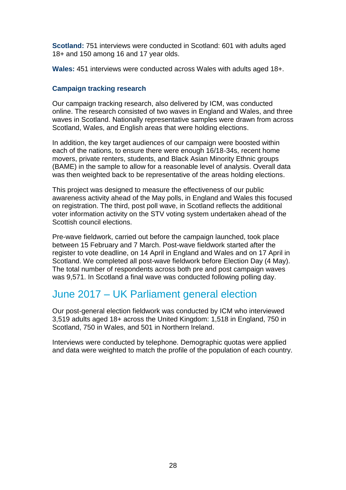**Scotland:** 751 interviews were conducted in Scotland: 601 with adults aged 18+ and 150 among 16 and 17 year olds.

**Wales:** 451 interviews were conducted across Wales with adults aged 18+.

#### **Campaign tracking research**

Our campaign tracking research, also delivered by ICM, was conducted online. The research consisted of two waves in England and Wales, and three waves in Scotland. Nationally representative samples were drawn from across Scotland, Wales, and English areas that were holding elections.

In addition, the key target audiences of our campaign were boosted within each of the nations, to ensure there were enough 16/18-34s, recent home movers, private renters, students, and Black Asian Minority Ethnic groups (BAME) in the sample to allow for a reasonable level of analysis. Overall data was then weighted back to be representative of the areas holding elections.

This project was designed to measure the effectiveness of our public awareness activity ahead of the May polls, in England and Wales this focused on registration. The third, post poll wave, in Scotland reflects the additional voter information activity on the STV voting system undertaken ahead of the Scottish council elections.

Pre-wave fieldwork, carried out before the campaign launched, took place between 15 February and 7 March. Post-wave fieldwork started after the register to vote deadline, on 14 April in England and Wales and on 17 April in Scotland. We completed all post-wave fieldwork before Election Day (4 May). The total number of respondents across both pre and post campaign waves was 9.571. In Scotland a final wave was conducted following polling day.

### June 2017 – UK Parliament general election

Our post-general election fieldwork was conducted by ICM who interviewed 3,519 adults aged 18+ across the United Kingdom: 1,518 in England, 750 in Scotland, 750 in Wales, and 501 in Northern Ireland.

Interviews were conducted by telephone. Demographic quotas were applied and data were weighted to match the profile of the population of each country.